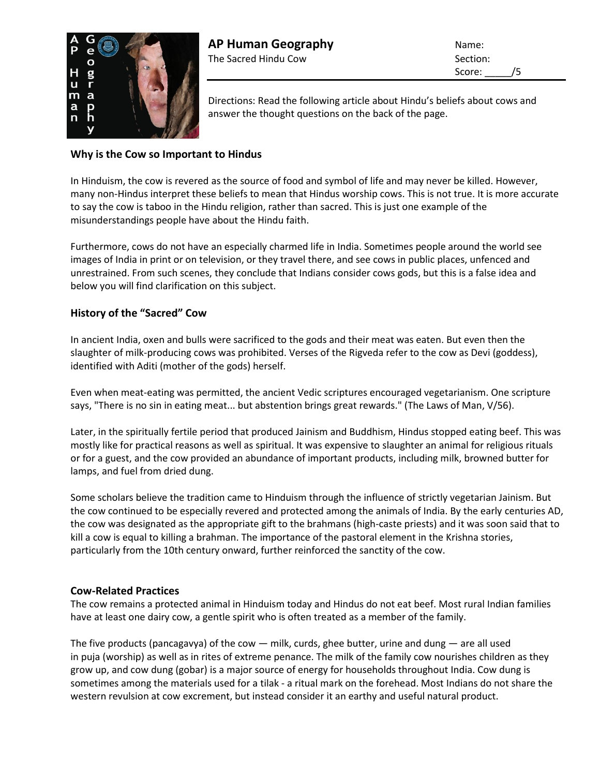

Directions: Read the following article about Hindu's beliefs about cows and answer the thought questions on the back of the page.

## **Why is the Cow so Important to Hindus**

In Hinduism, the cow is revered as the source of food and symbol of life and may never be killed. However, many non-Hindus interpret these beliefs to mean that Hindus worship cows. This is not true. It is more accurate to say the cow is taboo in the Hindu religion, rather than sacred. This is just one example of the misunderstandings people have about the Hindu faith.

Furthermore, cows do not have an especially charmed life in India. Sometimes people around the world see images of India in print or on television, or they travel there, and see cows in public places, unfenced and unrestrained. From such scenes, they conclude that Indians consider cows gods, but this is a false idea and below you will find clarification on this subject.

## **History of the "Sacred" Cow**

In ancient India, oxen and bulls were sacrificed to the gods and their meat was eaten. But even then the slaughter of milk-producing cows was prohibited. Verses of the Rigveda refer to the cow as Devi (goddess), identified with Aditi (mother of the gods) herself.

Even when meat-eating was permitted, the ancient Vedic scriptures encouraged vegetarianism. One scripture says, "There is no sin in eating meat... but abstention brings great rewards." (The Laws of Man, V/56).

Later, in the spiritually fertile period that produced Jainism and Buddhism, Hindus stopped eating beef. This was mostly like for practical reasons as well as spiritual. It was expensive to slaughter an animal for religious rituals or for a guest, and the cow provided an abundance of important products, including milk, browned butter for lamps, and fuel from dried dung.

Some scholars believe the tradition came to Hinduism through the influence of strictly vegetarian Jainism. But the cow continued to be especially revered and protected among the animals of India. By the early centuries AD, the cow was designated as the appropriate gift to the brahmans (high-caste priests) and it was soon said that to kill a cow is equal to killing a brahman. The importance of the pastoral element in the Krishna stories, particularly from the 10th century onward, further reinforced the sanctity of the cow.

## **Cow-Related Practices**

The cow remains a protected animal in Hinduism today and Hindus do not eat beef. Most rural Indian families have at least one dairy cow, a gentle spirit who is often treated as a member of the family.

The five products (pancagavya) of the cow — milk, curds, ghee butter, urine and dung — are all used in puja (worship) as well as in rites of extreme penance. The milk of the family cow nourishes children as they grow up, and cow dung (gobar) is a major source of energy for households throughout India. Cow dung is sometimes among the materials used for a tilak - a ritual mark on the forehead. Most Indians do not share the western revulsion at cow excrement, but instead consider it an earthy and useful natural product.